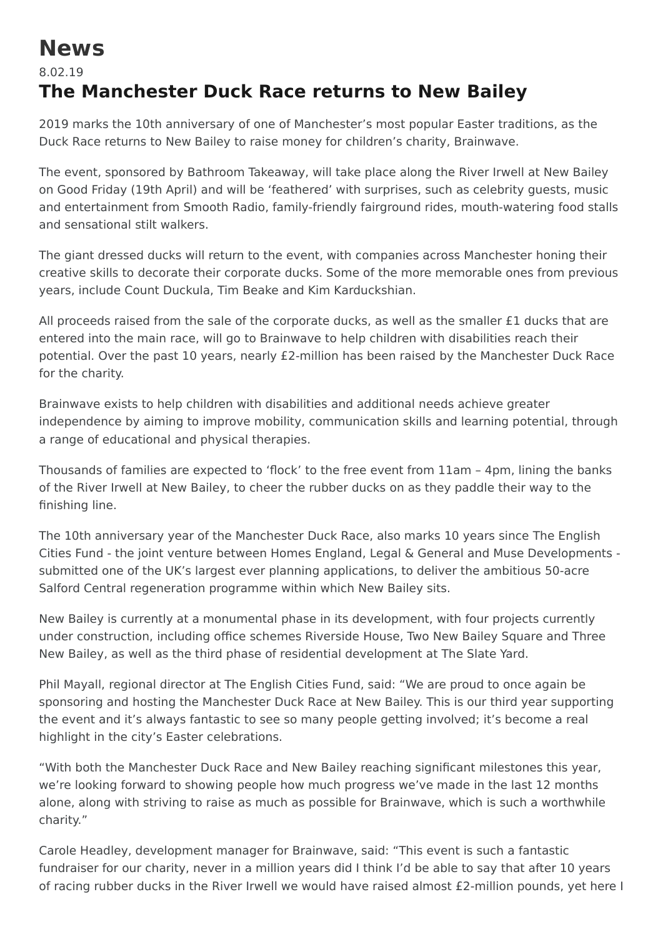## **News**

## 8.02.19 **The Manchester Duck Race returns to New Bailey**

2019 marks the 10th anniversary of one of Manchester's most popular Easter traditions, as the Duck Race returns to New Bailey to raise money for children's charity, Brainwave.

The event, sponsored by Bathroom Takeaway, will take place along the River Irwell at New Bailey on Good Friday (19th April) and will be 'feathered' with surprises, such as celebrity guests, music and entertainment from Smooth Radio, family-friendly fairground rides, mouth-watering food stalls and sensational stilt walkers.

The giant dressed ducks will return to the event, with companies across Manchester honing their creative skills to decorate their corporate ducks. Some of the more memorable ones from previous years, include Count Duckula, Tim Beake and Kim Karduckshian.

All proceeds raised from the sale of the corporate ducks, as well as the smaller £1 ducks that are entered into the main race, will go to Brainwave to help children with disabilities reach their potential. Over the past 10 years, nearly £2-million has been raised by the Manchester Duck Race for the charity.

Brainwave exists to help children with disabilities and additional needs achieve greater independence by aiming to improve mobility, communication skills and learning potential, through a range of educational and physical therapies.

Thousands of families are expected to 'flock' to the free event from 11am – 4pm, lining the banks of the River Irwell at New Bailey, to cheer the rubber ducks on as they paddle their way to the finishing line.

The 10th anniversary year of the Manchester Duck Race, also marks 10 years since The English Cities Fund - the joint venture between Homes England, Legal & General and Muse Developments submitted one of the UK's largest ever planning applications, to deliver the ambitious 50-acre Salford Central regeneration programme within which New Bailey sits.

New Bailey is currently at a monumental phase in its development, with four projects currently under construction, including office schemes Riverside House, Two New Bailey Square and Three New Bailey, as well as the third phase of residential development at The Slate Yard.

Phil Mayall, regional director at The English Cities Fund, said: "We are proud to once again be sponsoring and hosting the Manchester Duck Race at New Bailey. This is our third year supporting the event and it's always fantastic to see so many people getting involved; it's become a real highlight in the city's Easter celebrations.

"With both the Manchester Duck Race and New Bailey reaching significant milestones this year, we're looking forward to showing people how much progress we've made in the last 12 months alone, along with striving to raise as much as possible for Brainwave, which is such a worthwhile charity."

Carole Headley, development manager for Brainwave, said: "This event is such a fantastic fundraiser for our charity, never in a million years did I think I'd be able to say that after 10 years of racing rubber ducks in the River Irwell we would have raised almost £2-million pounds, yet here I